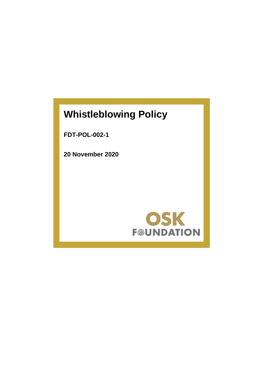# **Whistleblowing Policy**

**FDT-POL-002-1**

**20 November 2020**

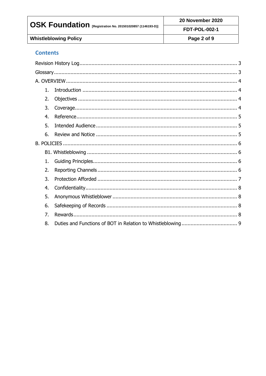| OSK Foundation [Registration No. 201501020857 (1146193-D)] | 20 November 2020     |  |
|------------------------------------------------------------|----------------------|--|
|                                                            | <b>FDT-POL-002-1</b> |  |
| <b>Whistleblowing Policy</b>                               | Page 2 of 9          |  |

## **Contents**

| 1. |  |
|----|--|
| 2. |  |
| 3. |  |
| 4. |  |
| 5. |  |
| 6. |  |
|    |  |
|    |  |
| 1. |  |
| 2. |  |
| 3. |  |
| 4. |  |
| 5. |  |
| 6. |  |
| 7. |  |
| 8. |  |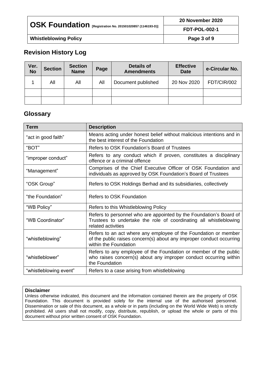| $\mid$ OSK Foundation $_{\tiny{\text{[Registration No. 201501020857 (1146193-D)]}}}$ | 20 November 2020     |  |
|--------------------------------------------------------------------------------------|----------------------|--|
|                                                                                      | <b>FDT-POL-002-1</b> |  |
| <b>Whistleblowing Policy</b>                                                         | Page 3 of 9          |  |

## <span id="page-2-0"></span>**Revision History Log**

| Ver.<br><b>No</b> | <b>Section</b> | <b>Section</b><br><b>Name</b> | Page | <b>Details of</b><br><b>Amendments</b> | <b>Effective</b><br><b>Date</b> | e-Circular No. |
|-------------------|----------------|-------------------------------|------|----------------------------------------|---------------------------------|----------------|
|                   | All            | All                           | All  | Document published                     | 20 Nov 2020                     | FDT/CIR/002    |
|                   |                |                               |      |                                        |                                 |                |
|                   |                |                               |      |                                        |                                 |                |

## <span id="page-2-1"></span>**Glossary**

| <b>Term</b>            | <b>Description</b>                                                                                                                                               |  |
|------------------------|------------------------------------------------------------------------------------------------------------------------------------------------------------------|--|
| "act in good faith"    | Means acting under honest belief without malicious intentions and in<br>the best interest of the Foundation                                                      |  |
| "BOT"                  | Refers to OSK Foundation's Board of Trustees                                                                                                                     |  |
| "improper conduct"     | Refers to any conduct which if proven, constitutes a disciplinary<br>offence or a criminal offence                                                               |  |
| "Management"           | Comprises of the Chief Executive Officer of OSK Foundation and<br>individuals as approved by OSK Foundation's Board of Trustees                                  |  |
| "OSK Group"            | Refers to OSK Holdings Berhad and its subsidiaries, collectively                                                                                                 |  |
| "the Foundation"       | Refers to OSK Foundation                                                                                                                                         |  |
| "WB Policy"            | Refers to this Whistleblowing Policy                                                                                                                             |  |
| "WB Coordinator"       | Refers to personnel who are appointed by the Foundation's Board of<br>Trustees to undertake the role of coordinating all whistleblowing<br>related activities    |  |
| "whistleblowing"       | Refers to an act where any employee of the Foundation or member<br>of the public raises concern(s) about any improper conduct occurring<br>within the Foundation |  |
| "whistleblower"        | Refers to any employee of the Foundation or member of the public<br>who raises concern(s) about any improper conduct occurring within<br>the Foundation          |  |
| "whistleblowing event" | Refers to a case arising from whistleblowing                                                                                                                     |  |

#### **Disclaimer**

Unless otherwise indicated, this document and the information contained therein are the property of OSK Foundation. This document is provided solely for the internal use of the authorised personnel. Dissemination or sale of this document, as a whole or in parts (including on the World Wide Web) is strictly prohibited. All users shall not modify, copy, distribute, republish, or upload the whole or parts of this document without prior written consent of OSK Foundation.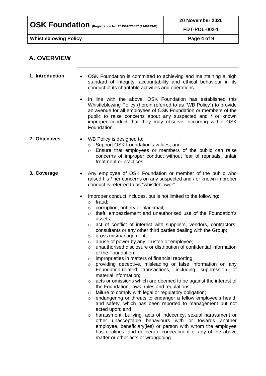| OSK Foundation [Registration No. 201501020857 (1146193-D)] | 20 November 2020     |  |
|------------------------------------------------------------|----------------------|--|
|                                                            | <b>FDT-POL-002-1</b> |  |
| <b>Whistleblowing Policy</b>                               | Page 4 of 9          |  |
|                                                            |                      |  |

## <span id="page-3-0"></span>**A. OVERVIEW**

<span id="page-3-3"></span><span id="page-3-2"></span><span id="page-3-1"></span>

| 1. Introduction | OSK Foundation is committed to achieving and maintaining a high<br>$\bullet$<br>standard of integrity, accountability and ethical behaviour in its<br>conduct of its charitable activities and operations.                                                                                                                                                                                                                                                                                                                                                                                                                                                                                                                                                                                                                                                                                                                                                                                                                                                                                                                                                                                                                                                                                                                                                                                                                                                         |
|-----------------|--------------------------------------------------------------------------------------------------------------------------------------------------------------------------------------------------------------------------------------------------------------------------------------------------------------------------------------------------------------------------------------------------------------------------------------------------------------------------------------------------------------------------------------------------------------------------------------------------------------------------------------------------------------------------------------------------------------------------------------------------------------------------------------------------------------------------------------------------------------------------------------------------------------------------------------------------------------------------------------------------------------------------------------------------------------------------------------------------------------------------------------------------------------------------------------------------------------------------------------------------------------------------------------------------------------------------------------------------------------------------------------------------------------------------------------------------------------------|
|                 | In line with the above, OSK Foundation has established this<br>٠<br>Whistleblowing Policy (herein referred to as "WB Policy") to provide<br>an avenue for all employees of OSK Foundation or members of the<br>public to raise concerns about any suspected and / or known<br>improper conduct that they may observe, occurring within OSK<br>Foundation.                                                                                                                                                                                                                                                                                                                                                                                                                                                                                                                                                                                                                                                                                                                                                                                                                                                                                                                                                                                                                                                                                                          |
| 2. Objectives   | WB Policy is designed to:<br>$\bullet$<br>Support OSK Foundation's values; and<br>$\circ$<br>Ensure that employees or members of the public can raise<br>$\circ$<br>concerns of improper conduct without fear of reprisals, unfair<br>treatment or practices.                                                                                                                                                                                                                                                                                                                                                                                                                                                                                                                                                                                                                                                                                                                                                                                                                                                                                                                                                                                                                                                                                                                                                                                                      |
| 3. Coverage     | Any employee of OSK Foundation or member of the public who<br>raised his / her concerns on any suspected and / or known improper<br>conduct is referred to as "whistleblower".                                                                                                                                                                                                                                                                                                                                                                                                                                                                                                                                                                                                                                                                                                                                                                                                                                                                                                                                                                                                                                                                                                                                                                                                                                                                                     |
|                 | Improper conduct includes, but is not limited to the following:<br>fraud;<br>$\circ$<br>corruption, bribery or blackmail;<br>$\circ$<br>theft, embezzlement and unauthorised use of the Foundation's<br>$\circ$<br>assets;<br>act of conflict of interest with suppliers, vendors, contractors,<br>O<br>consultants or any other third parties dealing with the Group;<br>gross mismanagement;<br>O<br>abuse of power by any Trustee or employee;<br>$\circ$<br>unauthorised disclosure or distribution of confidential information<br>$\circ$<br>of the Foundation;<br>improprieties in matters of financial reporting;<br>$\circ$<br>providing deceptive, misleading or false information on any<br>$\circ$<br>Foundation-related transactions,<br>including suppression<br>0f<br>material information;<br>acts or omissions which are deemed to be against the interest of<br>O<br>the Foundation, laws, rules and regulations;<br>failure to comply with legal or regulatory obligation;<br>O<br>endangering or threats to endanger a fellow employee's health<br>$\circ$<br>and safety, which has been reported to management but not<br>acted upon; and<br>harassment, bullying, acts of indecency, sexual harassment or<br>O<br>other unacceptable behaviours with or towards another<br>employee, beneficiary(ies) or person with whom the employee<br>has dealings; and deliberate concealment of any of the above<br>matter or other acts or wrongdoing. |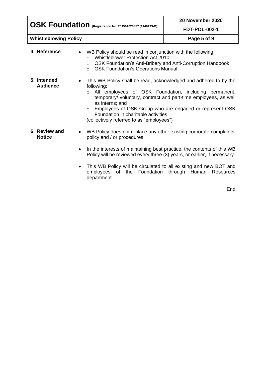| $\overline{S}$ $\overline{S}$ $\overline{S}$ $\overline{S}$ $\overline{S}$ $\overline{S}$ $\overline{S}$ $\overline{S}$ $\overline{S}$ $\overline{S}$ $\overline{S}$ $\overline{S}$ $\overline{S}$ $\overline{S}$ $\overline{S}$ $\overline{S}$ $\overline{S}$ $\overline{S}$ $\overline{S}$ $\overline{S}$ $\overline{S}$ $\overline{S}$ $\overline{S}$ $\overline{S}$ $\overline{$ | 20 November 2020     |  |
|--------------------------------------------------------------------------------------------------------------------------------------------------------------------------------------------------------------------------------------------------------------------------------------------------------------------------------------------------------------------------------------|----------------------|--|
|                                                                                                                                                                                                                                                                                                                                                                                      | <b>FDT-POL-002-1</b> |  |
| <b>Whistleblowing Policy</b>                                                                                                                                                                                                                                                                                                                                                         | Page 5 of 9          |  |

<span id="page-4-1"></span><span id="page-4-0"></span>

| 4. Reference                   | WB Policy should be read in conjunction with the following:<br>$\bullet$<br>Whistleblower Protection Act 2010;<br>$\circ$<br>OSK Foundation's Anti-Bribery and Anti-Corruption Handbook<br>$\circ$<br><b>OSK Foundation's Operations Manual</b><br>$\circ$                                                                                                                                             |
|--------------------------------|--------------------------------------------------------------------------------------------------------------------------------------------------------------------------------------------------------------------------------------------------------------------------------------------------------------------------------------------------------------------------------------------------------|
| 5. Intended<br><b>Audience</b> | This WB Policy shall be read, acknowledged and adhered to by the<br>$\bullet$<br>following:<br>o All employees of OSK Foundation, including permanent,<br>temporary/ voluntary, contract and part-time employees, as well<br>as interns; and<br>Employees of OSK Group who are engaged or represent OSK<br>$\circ$<br>Foundation in charitable activities<br>(collectively referred to as "employees") |
| 6. Review and<br><b>Notice</b> | WB Policy does not replace any other existing corporate complaints'<br>$\bullet$<br>policy and / or procedures.<br>In the interests of maintaining best practice, the contents of this WB<br>$\bullet$<br>Policy will be reviewed every three (3) years, or earlier, if necessary.                                                                                                                     |
|                                | This WB Policy will be circulated to all existing and new BOT and<br>$\bullet$<br>employees of the Foundation through Human Resources                                                                                                                                                                                                                                                                  |

<span id="page-4-2"></span>department.

**End**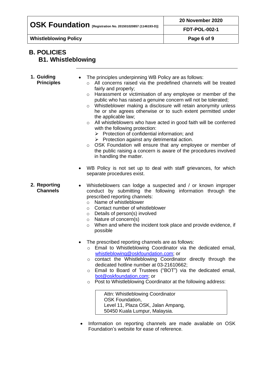**OSK Foundation [Registration No. 201501020857 (1146193-D)]**

**Whistleblowing Policy Page 6 of 9**

### <span id="page-5-1"></span><span id="page-5-0"></span>**B. POLICIES B1. Whistleblowing**

#### <span id="page-5-3"></span><span id="page-5-2"></span>**1. Guiding Principles** The principles underpinning WB Policy are as follows: o All concerns raised via the predefined channels will be treated fairly and properly; o Harassment or victimisation of any employee or member of the public who has raised a genuine concern will not be tolerated; o Whistleblower making a disclosure will retain anonymity unless he or she agrees otherwise or to such extent permitted under the applicable law; o All whistleblowers who have acted in good faith will be conferred with the following protection: ➢ Protection of confidential information; and ➢ Protection against any detrimental action. o OSK Foundation will ensure that any employee or member of the public raising a concern is aware of the procedures involved in handling the matter. • WB Policy is not set up to deal with staff grievances, for which separate procedures exist. **2. Reporting Channels** • Whistleblowers can lodge a suspected and / or known improper conduct by submitting the following information through the prescribed reporting channels: o Name of whistleblower o Contact number of whistleblower o Details of person(s) involved o Nature of concern(s) o When and where the incident took place and provide evidence, if possible • The prescribed reporting channels are as follows: o Email to Whistleblowing Coordinator via the dedicated email, [whistleblowing@oskfoundation.com;](mailto:whistleblowing@oskfoundation.com) or o contact the Whistleblowing Coordinator directly through the dedicated hotline number at 03-21610662; o Email to Board of Trustees ("BOT") via the dedicated email, [bot@oskfoundation.com;](mailto:bot@oskfoundation.com) or o Post to Whistleblowing Coordinator at the following address: Attn: Whistleblowing Coordinator OSK Foundation, Level 11, Plaza OSK, Jalan Ampang, 50450 Kuala Lumpur, Malaysia. • Information on reporting channels are made available on OSK Foundation's website for ease of reference.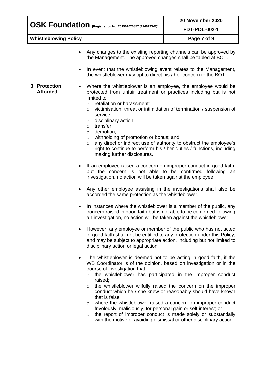| OSK Foundation [Registration No. 201501020857 (1146193-D)] | 20 November 2020     |  |
|------------------------------------------------------------|----------------------|--|
|                                                            | <b>FDT-POL-002-1</b> |  |
| <b>Whistleblowing Policy</b>                               | Page 7 of 9          |  |
|                                                            |                      |  |

- Any changes to the existing reporting channels can be approved by the Management. The approved changes shall be tabled at BOT.
- In event that the whistleblowing event relates to the Management, the whistleblower may opt to direct his / her concern to the BOT.
- <span id="page-6-0"></span>**3. Protection Afforded** Where the whistleblower is an employee, the employee would be protected from unfair treatment or practices including but is not limited to:
	- o retaliation or harassment;
	- o victimisation, threat or intimidation of termination / suspension of service;
	- o disciplinary action;
	- o transfer;
	- o demotion;
	- o withholding of promotion or bonus; and
	- o any direct or indirect use of authority to obstruct the employee's right to continue to perform his / her duties / functions, including making further disclosures.
	- If an employee raised a concern on improper conduct in good faith, but the concern is not able to be confirmed following an investigation, no action will be taken against the employee.
	- Any other employee assisting in the investigations shall also be accorded the same protection as the whistleblower.
	- In instances where the whistleblower is a member of the public, any concern raised in good faith but is not able to be confirmed following an investigation, no action will be taken against the whistleblower.
	- However, any employee or member of the public who has not acted in good faith shall not be entitled to any protection under this Policy, and may be subject to appropriate action, including but not limited to disciplinary action or legal action.
	- The whistleblower is deemed not to be acting in good faith, if the WB Coordinator is of the opinion, based on investigation or in the course of investigation that:
		- o the whistleblower has participated in the improper conduct raised;
		- o the whistleblower wilfully raised the concern on the improper conduct which he / she knew or reasonably should have known that is false;
		- o where the whistleblower raised a concern on improper conduct frivolously, maliciously, for personal gain or self-interest; or
		- o the report of improper conduct is made solely or substantially with the motive of avoiding dismissal or other disciplinary action.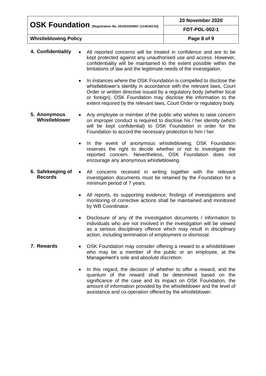| OSK Foundation [Registration No. 201501020857 (1146193-D)] | 20 November 2020     |  |
|------------------------------------------------------------|----------------------|--|
|                                                            | <b>FDT-POL-002-1</b> |  |
| <b>Whistleblowing Policy</b>                               | Page 8 of 9          |  |

- <span id="page-7-0"></span>**4. Confidentiality** • All reported concerns will be treated in confidence and are to be kept protected against any unauthorised use and access. However, confidentiality will be maintained to the extent possible within the limitations of law and the legitimate needs of the investigation.
	- In instances where the OSK Foundation is compelled to disclose the whistleblower's identity in accordance with the relevant laws, Court Order or written directive issued by a regulatory body (whether local or foreign), OSK Foundation may disclose the information to the extent required by the relevant laws, Court Order or regulatory body.
- <span id="page-7-1"></span>**5. Anonymous Whistleblower** • Any employee or member of the public who wishes to raise concern on improper conduct is required to disclose his / her identity (which will be kept confidential) to OSK Foundation in order for the Foundation to accord the necessary protection to him / her.
	- In the event of anonymous whistleblowing, OSK Foundation reserves the right to decide whether or not to investigate the reported concern. Nevertheless, OSK Foundation does not encourage any anonymous whistleblowing.
- <span id="page-7-2"></span>**6. Safekeeping of Records** All concerns received in writing together with the relevant investigation documents must be retained by the Foundation for a minimum period of 7 years.
	- All reports, its supporting evidence, findings of investigations and monitoring of corrective actions shall be maintained and monitored by WB Coordinator.
	- Disclosure of any of the investigation documents / information to individuals who are not involved in the investigation will be viewed as a serious disciplinary offence which may result in disciplinary action, including termination of employment or dismissal.
- <span id="page-7-3"></span>**7. Rewards** • OSK Foundation may consider offering a reward to a whistleblower who may be a member of the public or an employee, at the Management's sole and absolute discretion.
	- In this regard, the decision of whether to offer a reward, and the quantum of the reward shall be determined based on the significance of the case and its impact on OSK Foundation, the amount of information provided by the whistleblower and the level of assistance and co-operation offered by the whistleblower.